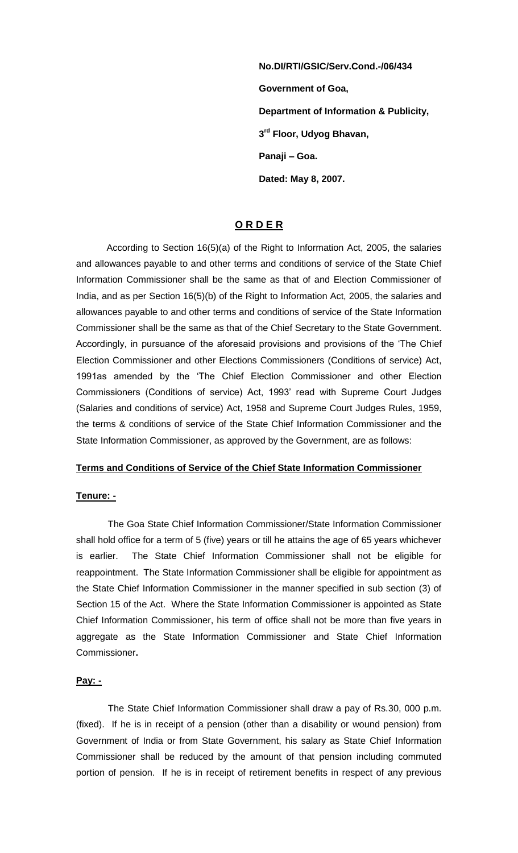**No.DI/RTI/GSIC/Serv.Cond.-/06/434 Government of Goa, Department of Information & Publicity, 3 rd Floor, Udyog Bhavan, Panaji – Goa. Dated: May 8, 2007.** 

# **O R D E R**

According to Section 16(5)(a) of the Right to Information Act, 2005, the salaries and allowances payable to and other terms and conditions of service of the State Chief Information Commissioner shall be the same as that of and Election Commissioner of India, and as per Section 16(5)(b) of the Right to Information Act, 2005, the salaries and allowances payable to and other terms and conditions of service of the State Information Commissioner shall be the same as that of the Chief Secretary to the State Government. Accordingly, in pursuance of the aforesaid provisions and provisions of the 'The Chief Election Commissioner and other Elections Commissioners (Conditions of service) Act, 1991as amended by the 'The Chief Election Commissioner and other Election Commissioners (Conditions of service) Act, 1993' read with Supreme Court Judges (Salaries and conditions of service) Act, 1958 and Supreme Court Judges Rules, 1959, the terms & conditions of service of the State Chief Information Commissioner and the State Information Commissioner, as approved by the Government, are as follows:

## **Terms and Conditions of Service of the Chief State Information Commissioner**

### **Tenure: -**

 The Goa State Chief Information Commissioner/State Information Commissioner shall hold office for a term of 5 (five) years or till he attains the age of 65 years whichever is earlier. The State Chief Information Commissioner shall not be eligible for reappointment. The State Information Commissioner shall be eligible for appointment as the State Chief Information Commissioner in the manner specified in sub section (3) of Section 15 of the Act. Where the State Information Commissioner is appointed as State Chief Information Commissioner, his term of office shall not be more than five years in aggregate as the State Information Commissioner and State Chief Information Commissioner**.** 

## **Pay: -**

The State Chief Information Commissioner shall draw a pay of Rs.30, 000 p.m. (fixed). If he is in receipt of a pension (other than a disability or wound pension) from Government of India or from State Government, his salary as State Chief Information Commissioner shall be reduced by the amount of that pension including commuted portion of pension. If he is in receipt of retirement benefits in respect of any previous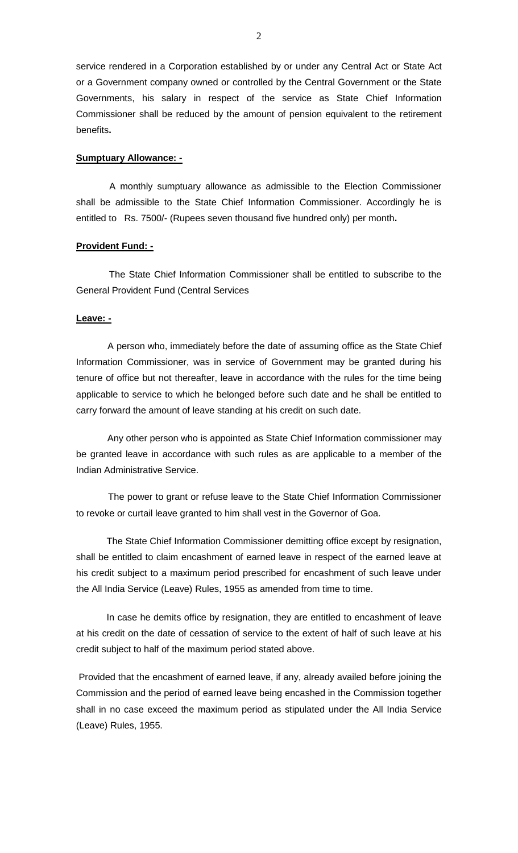service rendered in a Corporation established by or under any Central Act or State Act or a Government company owned or controlled by the Central Government or the State Governments, his salary in respect of the service as State Chief Information Commissioner shall be reduced by the amount of pension equivalent to the retirement benefits**.** 

### **Sumptuary Allowance: -**

A monthly sumptuary allowance as admissible to the Election Commissioner shall be admissible to the State Chief Information Commissioner. Accordingly he is entitled to Rs. 7500/- (Rupees seven thousand five hundred only) per month**.** 

### **Provident Fund: -**

 The State Chief Information Commissioner shall be entitled to subscribe to the General Provident Fund (Central Services

### **Leave: -**

A person who, immediately before the date of assuming office as the State Chief Information Commissioner, was in service of Government may be granted during his tenure of office but not thereafter, leave in accordance with the rules for the time being applicable to service to which he belonged before such date and he shall be entitled to carry forward the amount of leave standing at his credit on such date.

 Any other person who is appointed as State Chief Information commissioner may be granted leave in accordance with such rules as are applicable to a member of the Indian Administrative Service.

 The power to grant or refuse leave to the State Chief Information Commissioner to revoke or curtail leave granted to him shall vest in the Governor of Goa.

The State Chief Information Commissioner demitting office except by resignation, shall be entitled to claim encashment of earned leave in respect of the earned leave at his credit subject to a maximum period prescribed for encashment of such leave under the All India Service (Leave) Rules, 1955 as amended from time to time.

In case he demits office by resignation, they are entitled to encashment of leave at his credit on the date of cessation of service to the extent of half of such leave at his credit subject to half of the maximum period stated above.

Provided that the encashment of earned leave, if any, already availed before joining the Commission and the period of earned leave being encashed in the Commission together shall in no case exceed the maximum period as stipulated under the All India Service (Leave) Rules, 1955.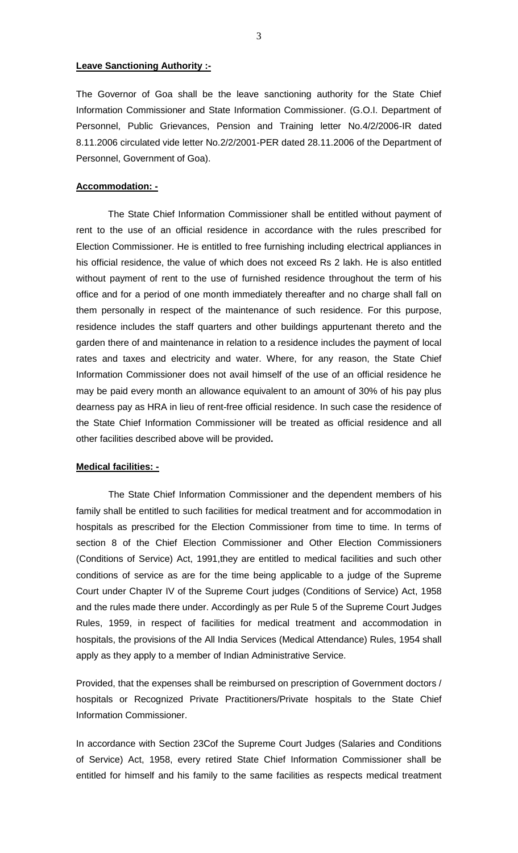## **Leave Sanctioning Authority :-**

The Governor of Goa shall be the leave sanctioning authority for the State Chief Information Commissioner and State Information Commissioner. (G.O.I. Department of Personnel, Public Grievances, Pension and Training letter No.4/2/2006-IR dated 8.11.2006 circulated vide letter No.2/2/2001-PER dated 28.11.2006 of the Department of Personnel, Government of Goa).

### **Accommodation: -**

 The State Chief Information Commissioner shall be entitled without payment of rent to the use of an official residence in accordance with the rules prescribed for Election Commissioner. He is entitled to free furnishing including electrical appliances in his official residence, the value of which does not exceed Rs 2 lakh. He is also entitled without payment of rent to the use of furnished residence throughout the term of his office and for a period of one month immediately thereafter and no charge shall fall on them personally in respect of the maintenance of such residence. For this purpose, residence includes the staff quarters and other buildings appurtenant thereto and the garden there of and maintenance in relation to a residence includes the payment of local rates and taxes and electricity and water. Where, for any reason, the State Chief Information Commissioner does not avail himself of the use of an official residence he may be paid every month an allowance equivalent to an amount of 30% of his pay plus dearness pay as HRA in lieu of rent-free official residence. In such case the residence of the State Chief Information Commissioner will be treated as official residence and all other facilities described above will be provided**.** 

#### **Medical facilities: -**

The State Chief Information Commissioner and the dependent members of his family shall be entitled to such facilities for medical treatment and for accommodation in hospitals as prescribed for the Election Commissioner from time to time. In terms of section 8 of the Chief Election Commissioner and Other Election Commissioners (Conditions of Service) Act, 1991,they are entitled to medical facilities and such other conditions of service as are for the time being applicable to a judge of the Supreme Court under Chapter IV of the Supreme Court judges (Conditions of Service) Act, 1958 and the rules made there under. Accordingly as per Rule 5 of the Supreme Court Judges Rules, 1959, in respect of facilities for medical treatment and accommodation in hospitals, the provisions of the All India Services (Medical Attendance) Rules, 1954 shall apply as they apply to a member of Indian Administrative Service.

Provided, that the expenses shall be reimbursed on prescription of Government doctors / hospitals or Recognized Private Practitioners/Private hospitals to the State Chief Information Commissioner.

In accordance with Section 23Cof the Supreme Court Judges (Salaries and Conditions of Service) Act, 1958, every retired State Chief Information Commissioner shall be entitled for himself and his family to the same facilities as respects medical treatment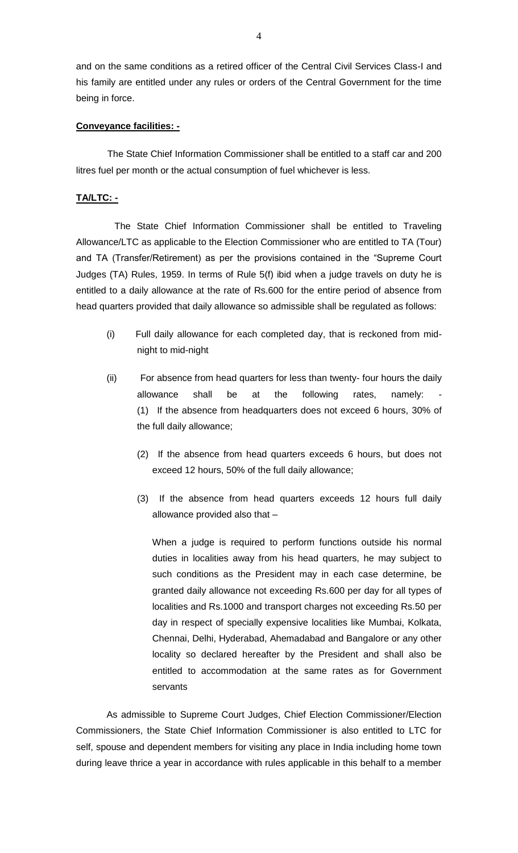and on the same conditions as a retired officer of the Central Civil Services Class-I and his family are entitled under any rules or orders of the Central Government for the time being in force.

## **Conveyance facilities: -**

 The State Chief Information Commissioner shall be entitled to a staff car and 200 litres fuel per month or the actual consumption of fuel whichever is less.

## **TA/LTC: -**

The State Chief Information Commissioner shall be entitled to Traveling Allowance/LTC as applicable to the Election Commissioner who are entitled to TA (Tour) and TA (Transfer/Retirement) as per the provisions contained in the "Supreme Court Judges (TA) Rules, 1959. In terms of Rule 5(f) ibid when a judge travels on duty he is entitled to a daily allowance at the rate of Rs.600 for the entire period of absence from head quarters provided that daily allowance so admissible shall be regulated as follows:

- (i) Full daily allowance for each completed day, that is reckoned from midnight to mid-night
- (ii) For absence from head quarters for less than twenty- four hours the daily allowance shall be at the following rates, namely: (1) If the absence from headquarters does not exceed 6 hours, 30% of the full daily allowance;
	- (2) If the absence from head quarters exceeds 6 hours, but does not exceed 12 hours, 50% of the full daily allowance;
	- (3) If the absence from head quarters exceeds 12 hours full daily allowance provided also that –

When a judge is required to perform functions outside his normal duties in localities away from his head quarters, he may subject to such conditions as the President may in each case determine, be granted daily allowance not exceeding Rs.600 per day for all types of localities and Rs.1000 and transport charges not exceeding Rs.50 per day in respect of specially expensive localities like Mumbai, Kolkata, Chennai, Delhi, Hyderabad, Ahemadabad and Bangalore or any other locality so declared hereafter by the President and shall also be entitled to accommodation at the same rates as for Government servants

As admissible to Supreme Court Judges, Chief Election Commissioner/Election Commissioners, the State Chief Information Commissioner is also entitled to LTC for self, spouse and dependent members for visiting any place in India including home town during leave thrice a year in accordance with rules applicable in this behalf to a member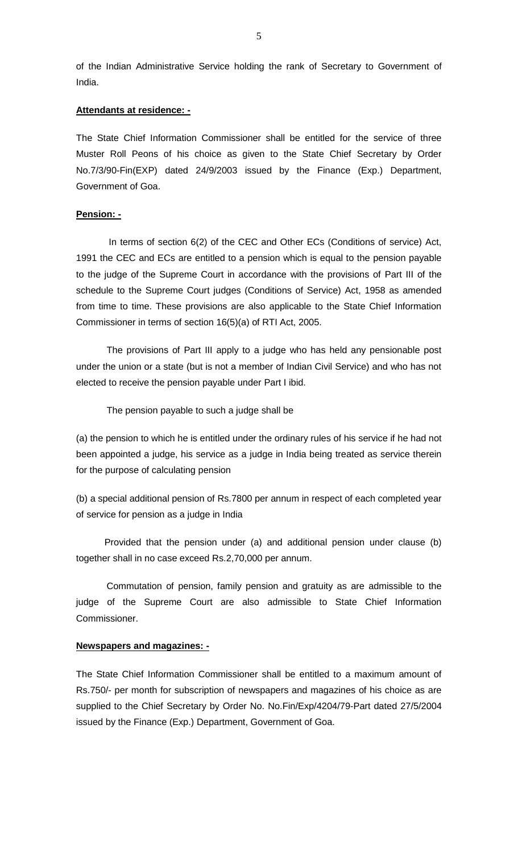of the Indian Administrative Service holding the rank of Secretary to Government of India.

### **Attendants at residence: -**

The State Chief Information Commissioner shall be entitled for the service of three Muster Roll Peons of his choice as given to the State Chief Secretary by Order No.7/3/90-Fin(EXP) dated 24/9/2003 issued by the Finance (Exp.) Department, Government of Goa.

# **Pension: -**

In terms of section 6(2) of the CEC and Other ECs (Conditions of service) Act, 1991 the CEC and ECs are entitled to a pension which is equal to the pension payable to the judge of the Supreme Court in accordance with the provisions of Part III of the schedule to the Supreme Court judges (Conditions of Service) Act, 1958 as amended from time to time. These provisions are also applicable to the State Chief Information Commissioner in terms of section 16(5)(a) of RTI Act, 2005.

The provisions of Part III apply to a judge who has held any pensionable post under the union or a state (but is not a member of Indian Civil Service) and who has not elected to receive the pension payable under Part I ibid.

The pension payable to such a judge shall be

(a) the pension to which he is entitled under the ordinary rules of his service if he had not been appointed a judge, his service as a judge in India being treated as service therein for the purpose of calculating pension

(b) a special additional pension of Rs.7800 per annum in respect of each completed year of service for pension as a judge in India

 Provided that the pension under (a) and additional pension under clause (b) together shall in no case exceed Rs.2,70,000 per annum.

Commutation of pension, family pension and gratuity as are admissible to the judge of the Supreme Court are also admissible to State Chief Information Commissioner.

#### **Newspapers and magazines: -**

The State Chief Information Commissioner shall be entitled to a maximum amount of Rs.750/- per month for subscription of newspapers and magazines of his choice as are supplied to the Chief Secretary by Order No. No.Fin/Exp/4204/79-Part dated 27/5/2004 issued by the Finance (Exp.) Department, Government of Goa.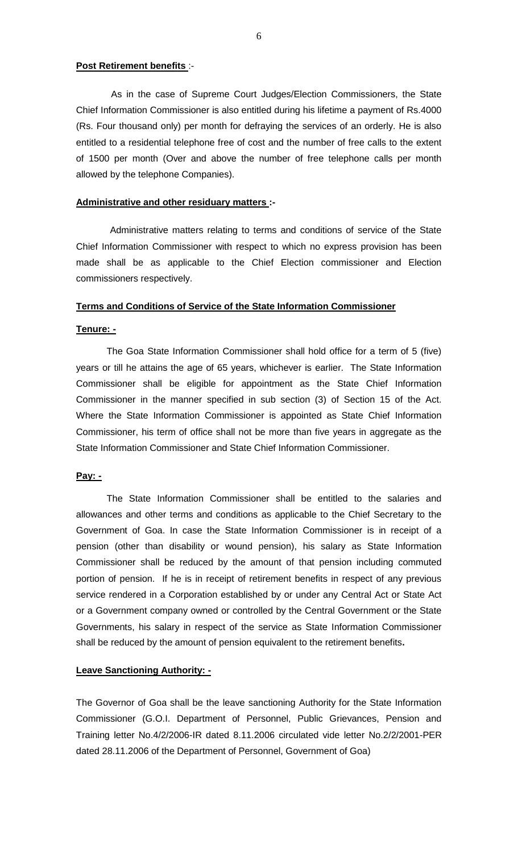### **Post Retirement benefits** :-

 As in the case of Supreme Court Judges/Election Commissioners, the State Chief Information Commissioner is also entitled during his lifetime a payment of Rs.4000 (Rs. Four thousand only) per month for defraying the services of an orderly. He is also entitled to a residential telephone free of cost and the number of free calls to the extent of 1500 per month (Over and above the number of free telephone calls per month allowed by the telephone Companies).

### **Administrative and other residuary matters :-**

Administrative matters relating to terms and conditions of service of the State Chief Information Commissioner with respect to which no express provision has been made shall be as applicable to the Chief Election commissioner and Election commissioners respectively.

#### **Terms and Conditions of Service of the State Information Commissioner**

### **Tenure: -**

The Goa State Information Commissioner shall hold office for a term of 5 (five) years or till he attains the age of 65 years, whichever is earlier. The State Information Commissioner shall be eligible for appointment as the State Chief Information Commissioner in the manner specified in sub section (3) of Section 15 of the Act. Where the State Information Commissioner is appointed as State Chief Information Commissioner, his term of office shall not be more than five years in aggregate as the State Information Commissioner and State Chief Information Commissioner.

### **Pay: -**

The State Information Commissioner shall be entitled to the salaries and allowances and other terms and conditions as applicable to the Chief Secretary to the Government of Goa. In case the State Information Commissioner is in receipt of a pension (other than disability or wound pension), his salary as State Information Commissioner shall be reduced by the amount of that pension including commuted portion of pension. If he is in receipt of retirement benefits in respect of any previous service rendered in a Corporation established by or under any Central Act or State Act or a Government company owned or controlled by the Central Government or the State Governments, his salary in respect of the service as State Information Commissioner shall be reduced by the amount of pension equivalent to the retirement benefits**.** 

## **Leave Sanctioning Authority: -**

The Governor of Goa shall be the leave sanctioning Authority for the State Information Commissioner (G.O.I. Department of Personnel, Public Grievances, Pension and Training letter No.4/2/2006-IR dated 8.11.2006 circulated vide letter No.2/2/2001-PER dated 28.11.2006 of the Department of Personnel, Government of Goa)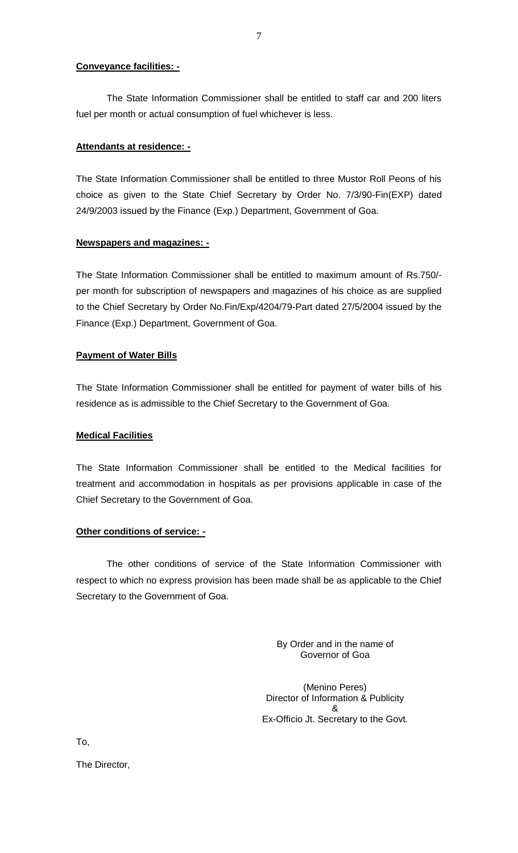## **Conveyance facilities: -**

The State Information Commissioner shall be entitled to staff car and 200 liters fuel per month or actual consumption of fuel whichever is less.

# **Attendants at residence: -**

The State Information Commissioner shall be entitled to three Mustor Roll Peons of his choice as given to the State Chief Secretary by Order No. 7/3/90-Fin(EXP) dated 24/9/2003 issued by the Finance (Exp.) Department, Government of Goa.

### **Newspapers and magazines: -**

The State Information Commissioner shall be entitled to maximum amount of Rs.750/ per month for subscription of newspapers and magazines of his choice as are supplied to the Chief Secretary by Order No.Fin/Exp/4204/79-Part dated 27/5/2004 issued by the Finance (Exp.) Department, Government of Goa.

## **Payment of Water Bills**

The State Information Commissioner shall be entitled for payment of water bills of his residence as is admissible to the Chief Secretary to the Government of Goa.

### **Medical Facilities**

The State Information Commissioner shall be entitled to the Medical facilities for treatment and accommodation in hospitals as per provisions applicable in case of the Chief Secretary to the Government of Goa.

# **Other conditions of service: -**

The other conditions of service of the State Information Commissioner with respect to which no express provision has been made shall be as applicable to the Chief Secretary to the Government of Goa.

> By Order and in the name of Governor of Goa

(Menino Peres) Director of Information & Publicity & Ex-Officio Jt. Secretary to the Govt.

To,

The Director,